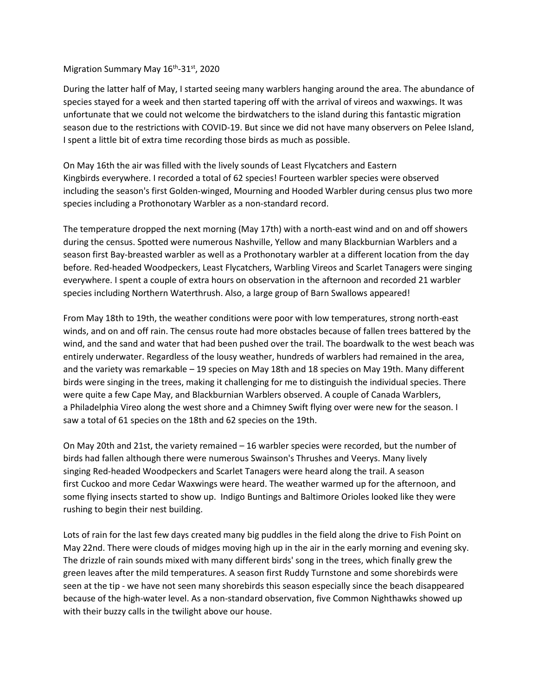## Migration Summary May 16<sup>th</sup>-31<sup>st</sup>, 2020

During the latter half of May, I started seeing many warblers hanging around the area. The abundance of species stayed for a week and then started tapering off with the arrival of vireos and waxwings. It was unfortunate that we could not welcome the birdwatchers to the island during this fantastic migration season due to the restrictions with COVID-19. But since we did not have many observers on Pelee Island, I spent a little bit of extra time recording those birds as much as possible.

On May 16th the air was filled with the lively sounds of Least Flycatchers and Eastern Kingbirds everywhere. I recorded a total of 62 species! Fourteen warbler species were observed including the season's first Golden-winged, Mourning and Hooded Warbler during census plus two more species including a Prothonotary Warbler as a non-standard record.

The temperature dropped the next morning (May 17th) with a north-east wind and on and off showers during the census. Spotted were numerous Nashville, Yellow and many Blackburnian Warblers and a season first Bay-breasted warbler as well as a Prothonotary warbler at a different location from the day before. Red-headed Woodpeckers, Least Flycatchers, Warbling Vireos and Scarlet Tanagers were singing everywhere. I spent a couple of extra hours on observation in the afternoon and recorded 21 warbler species including Northern Waterthrush. Also, a large group of Barn Swallows appeared!

From May 18th to 19th, the weather conditions were poor with low temperatures, strong north-east winds, and on and off rain. The census route had more obstacles because of fallen trees battered by the wind, and the sand and water that had been pushed over the trail. The boardwalk to the west beach was entirely underwater. Regardless of the lousy weather, hundreds of warblers had remained in the area, and the variety was remarkable – 19 species on May 18th and 18 species on May 19th. Many different birds were singing in the trees, making it challenging for me to distinguish the individual species. There were quite a few Cape May, and Blackburnian Warblers observed. A couple of Canada Warblers, a Philadelphia Vireo along the west shore and a Chimney Swift flying over were new for the season. I saw a total of 61 species on the 18th and 62 species on the 19th.

On May 20th and 21st, the variety remained – 16 warbler species were recorded, but the number of birds had fallen although there were numerous Swainson's Thrushes and Veerys. Many lively singing Red-headed Woodpeckers and Scarlet Tanagers were heard along the trail. A season first Cuckoo and more Cedar Waxwings were heard. The weather warmed up for the afternoon, and some flying insects started to show up. Indigo Buntings and Baltimore Orioles looked like they were rushing to begin their nest building.

Lots of rain for the last few days created many big puddles in the field along the drive to Fish Point on May 22nd. There were clouds of midges moving high up in the air in the early morning and evening sky. The drizzle of rain sounds mixed with many different birds' song in the trees, which finally grew the green leaves after the mild temperatures. A season first Ruddy Turnstone and some shorebirds were seen at the tip - we have not seen many shorebirds this season especially since the beach disappeared because of the high-water level. As a non-standard observation, five Common Nighthawks showed up with their buzzy calls in the twilight above our house.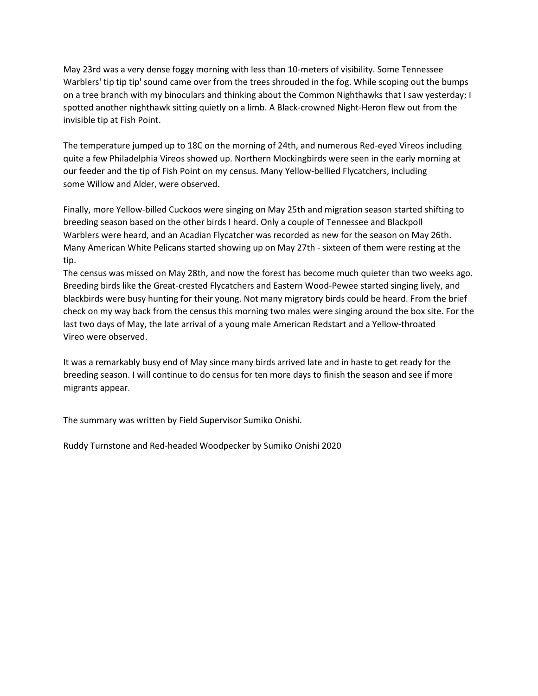May 23rd was a very dense foggy morning with less than 10-meters of visibility. Some Tennessee Warblers' tip tip tip' sound came over from the trees shrouded in the fog. While scoping out the bumps on a tree branch with my binoculars and thinking about the Common Nighthawks that I saw yesterday; I spotted another nighthawk sitting quietly on a limb. A Black-crowned Night-Heron flew out from the invisible tip at Fish Point.

The temperature jumped up to 18C on the morning of 24th, and numerous Red-eyed Vireos including quite a few Philadelphia Vireos showed up. Northern Mockingbirds were seen in the early morning at our feeder and the tip of Fish Point on my census. Many Yellow-bellied Flycatchers, including some Willow and Alder, were observed.

Finally, more Yellow-billed Cuckoos were singing on May 25th and migration season started shifting to breeding season based on the other birds I heard. Only a couple of Tennessee and Blackpoll Warblers were heard, and an Acadian Flycatcher was recorded as new for the season on May 26th. Many American White Pelicans started showing up on May 27th - sixteen of them were resting at the tip.

The census was missed on May 28th, and now the forest has become much quieter than two weeks ago. Breeding birds like the Great-crested Flycatchers and Eastern Wood-Pewee started singing lively, and blackbirds were busy hunting for their young. Not many migratory birds could be heard. From the brief check on my way back from the census this morning two males were singing around the box site. For the last two days of May, the late arrival of a young male American Redstart and a Yellow-throated Vireo were observed.

It was a remarkably busy end of May since many birds arrived late and in haste to get ready for the breeding season. I will continue to do census for ten more days to finish the season and see if more migrants appear.

The summary was written by Field Supervisor Sumiko Onishi.

Ruddy Turnstone and Red-headed Woodpecker by Sumiko Onishi 2020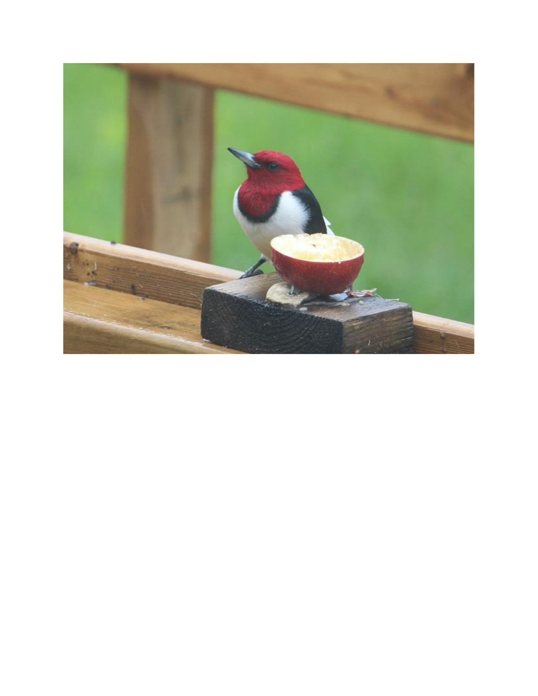